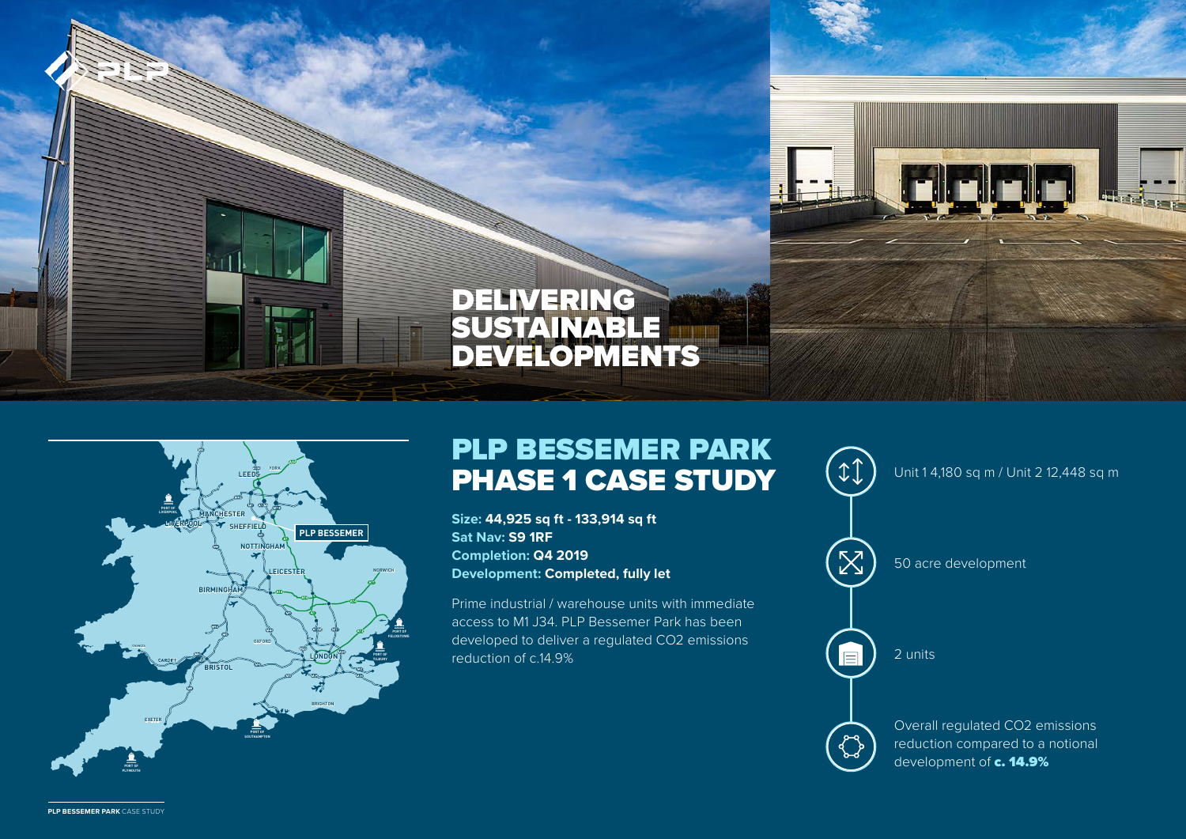

## PLP BESSEMER PARK

**Size: 44,925 sq ft - 133,914 sq ft Sat Nav: S9 1RF Completion: Q4 2019 Development: Completed, fully let** 

Prime industrial / warehouse units with immediate access to M1 J34. PLP Bessemer Park has been developed to deliver a regulated CO2 emissions reduction of c.14.9%



**YORK LEEDS PORT OF LIVERPOOL MANCHESTER LIVERPOOL SHEFFIELD PLP BESSEMER NOTTINGHAM LEICESTER NORWICH BIRMINGHAM PORT OF FELIXSTOWE OXFORD SWANSEA LONDO N PORT OF TILBUR Y RRISTOL BRIGHTON EXETER PORT OF SOUTHAMPTON PORT OF PLYMOUTH**